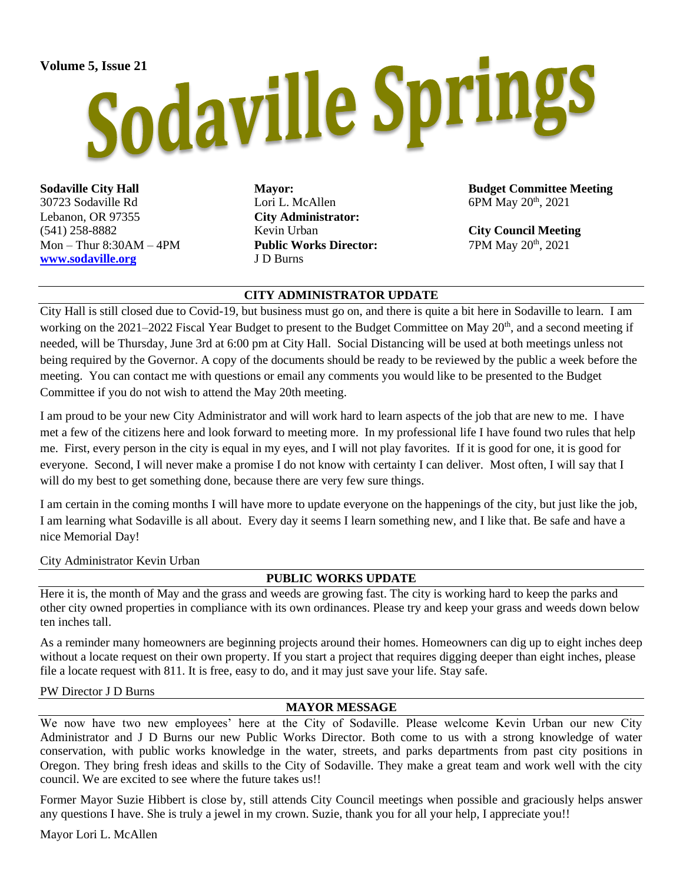# Volume 5, Issue 21<br>Sodaville Springs

**Sodaville City Hall** 30723 Sodaville Rd Lebanon, OR 97355 (541) 258-8882  $Mon - Thur 8:30AM - 4PM$ **[www.sodaville.org](http://www.sodaville.org/)**

**Mayor:** Lori L. McAllen **City Administrator:** Kevin Urban **Public Works Director:** J D Burns

**Budget Committee Meeting** 6PM May 20th, 2021

**City Council Meeting** 7PM May 20th, 2021

### **CITY ADMINISTRATOR UPDATE**

City Hall is still closed due to Covid-19, but business must go on, and there is quite a bit here in Sodaville to learn. I am working on the 2021–2022 Fiscal Year Budget to present to the Budget Committee on May 20<sup>th</sup>, and a second meeting if needed, will be Thursday, June 3rd at 6:00 pm at City Hall. Social Distancing will be used at both meetings unless not being required by the Governor. A copy of the documents should be ready to be reviewed by the public a week before the meeting. You can contact me with questions or email any comments you would like to be presented to the Budget Committee if you do not wish to attend the May 20th meeting.

I am proud to be your new City Administrator and will work hard to learn aspects of the job that are new to me. I have met a few of the citizens here and look forward to meeting more. In my professional life I have found two rules that help me. First, every person in the city is equal in my eyes, and I will not play favorites. If it is good for one, it is good for everyone. Second, I will never make a promise I do not know with certainty I can deliver. Most often, I will say that I will do my best to get something done, because there are very few sure things.

I am certain in the coming months I will have more to update everyone on the happenings of the city, but just like the job, I am learning what Sodaville is all about. Every day it seems I learn something new, and I like that. Be safe and have a nice Memorial Day!

City Administrator Kevin Urban

### **PUBLIC WORKS UPDATE**

Here it is, the month of May and the grass and weeds are growing fast. The city is working hard to keep the parks and other city owned properties in compliance with its own ordinances. Please try and keep your grass and weeds down below ten inches tall.

As a reminder many homeowners are beginning projects around their homes. Homeowners can dig up to eight inches deep without a locate request on their own property. If you start a project that requires digging deeper than eight inches, please file a locate request with 811. It is free, easy to do, and it may just save your life. Stay safe.

### PW Director J D Burns

### **MAYOR MESSAGE**

We now have two new employees' here at the City of Sodaville. Please welcome Kevin Urban our new City Administrator and J D Burns our new Public Works Director. Both come to us with a strong knowledge of water conservation, with public works knowledge in the water, streets, and parks departments from past city positions in Oregon. They bring fresh ideas and skills to the City of Sodaville. They make a great team and work well with the city council. We are excited to see where the future takes us!!

Former Mayor Suzie Hibbert is close by, still attends City Council meetings when possible and graciously helps answer any questions I have. She is truly a jewel in my crown. Suzie, thank you for all your help, I appreciate you!!

Mayor Lori L. McAllen